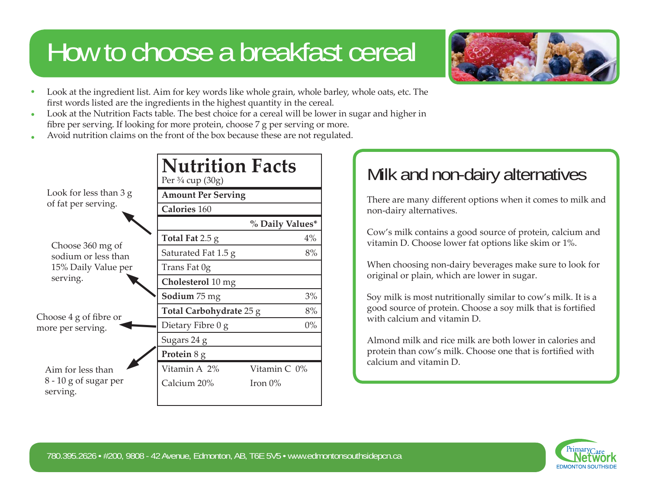# How to choose a breakfast cereal



- Look at the ingredient list. Aim for key words like whole grain, whole barley, whole oats, etc. The first words listed are the ingredients in the highest quantity in the cereal. •
- Look at the Nutrition Facts table. The best choice for a cereal will be lower in sugar and higher in fibre per serving. If looking for more protein, choose 7 g per serving or more. •
- Avoid nutrition claims on the front of the box because these are not regulated. •

|                                                                            | <b>Nutrition Facts</b><br>Per $\frac{3}{4}$ cup (30g) |                 |
|----------------------------------------------------------------------------|-------------------------------------------------------|-----------------|
| Look for less than 3 g<br>of fat per serving.                              | <b>Amount Per Serving</b>                             |                 |
|                                                                            | <b>Calories 160</b>                                   |                 |
|                                                                            |                                                       | % Daily Values* |
| Choose 360 mg of<br>sodium or less than<br>15% Daily Value per<br>serving. | Total Fat $2.5 g$                                     | 4%              |
|                                                                            | Saturated Fat 1.5 g                                   | 8%              |
|                                                                            | Trans Fat 0g                                          |                 |
|                                                                            | Cholesterol 10 mg                                     |                 |
| Choose 4 g of fibre or<br>more per serving.                                | <b>Sodium</b> 75 mg                                   | 3%              |
|                                                                            | Total Carbohydrate 25 g                               | 8%              |
|                                                                            | Dietary Fibre 0 g                                     | $0\%$           |
|                                                                            | Sugars 24 g                                           |                 |
|                                                                            | Protein 8 g                                           |                 |
| Aim for less than                                                          | Vitamin A 2%                                          | Vitamin C 0%    |
| $8 - 10$ g of sugar per<br>serving.                                        | Calcium 20%                                           | Iron $0\%$      |

## **Milk and non-dairy alternatives**

There are many different options when it comes to milk and non-dairy alternatives.

Cow's milk contains a good source of protein, calcium and vitamin D. Choose lower fat options like skim or 1%.

When choosing non-dairy beverages make sure to look for original or plain, which are lower in sugar.

Soy milk is most nutritionally similar to cow's milk. It is a good source of protein. Choose a soy milk that is forti fi ed with calcium and vitamin D.

Almond milk and rice milk are both lower in calories and protein than cow's milk. Choose one that is fortified with calcium and vitamin D.